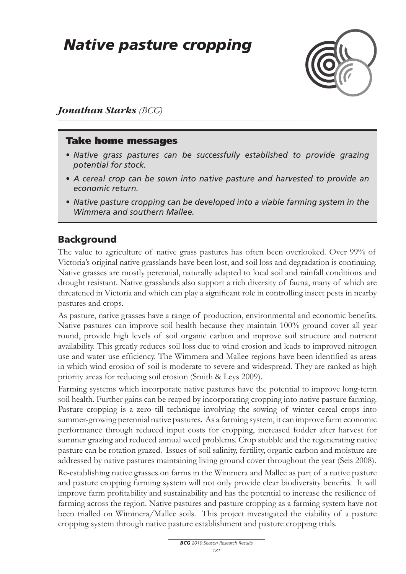# *Native pasture cropping*



#### *Jonathan Starks (BCG)*

#### Take home messages

- *• Native grass pastures can be successfully established to provide grazing potential for stock.*
- *• A cereal crop can be sown into native pasture and harvested to provide an economic return.*
- *• Native pasture cropping can be developed into a viable farming system in the Wimmera and southern Mallee.*

#### Background

The value to agriculture of native grass pastures has often been overlooked. Over 99% of Victoria's original native grasslands have been lost, and soil loss and degradation is continuing. Native grasses are mostly perennial, naturally adapted to local soil and rainfall conditions and drought resistant. Native grasslands also support a rich diversity of fauna, many of which are threatened in Victoria and which can play a significant role in controlling insect pests in nearby pastures and crops.

As pasture, native grasses have a range of production, environmental and economic benefits. Native pastures can improve soil health because they maintain 100% ground cover all year round, provide high levels of soil organic carbon and improve soil structure and nutrient availability. This greatly reduces soil loss due to wind erosion and leads to improved nitrogen use and water use efficiency. The Wimmera and Mallee regions have been identified as areas in which wind erosion of soil is moderate to severe and widespread. They are ranked as high priority areas for reducing soil erosion (Smith & Leys 2009).

Farming systems which incorporate native pastures have the potential to improve long-term soil health. Further gains can be reaped by incorporating cropping into native pasture farming. Pasture cropping is a zero till technique involving the sowing of winter cereal crops into summer-growing perennial native pastures. As a farming system, it can improve farm economic performance through reduced input costs for cropping, increased fodder after harvest for summer grazing and reduced annual weed problems. Crop stubble and the regenerating native pasture can be rotation grazed. Issues of soil salinity, fertility, organic carbon and moisture are addressed by native pastures maintaining living ground cover throughout the year (Seis 2008).

Re-establishing native grasses on farms in the Wimmera and Mallee as part of a native pasture and pasture cropping farming system will not only provide clear biodiversity benefits. It will improve farm profitability and sustainability and has the potential to increase the resilience of farming across the region. Native pastures and pasture cropping as a farming system have not been trialled on Wimmera/Mallee soils. This project investigated the viability of a pasture cropping system through native pasture establishment and pasture cropping trials.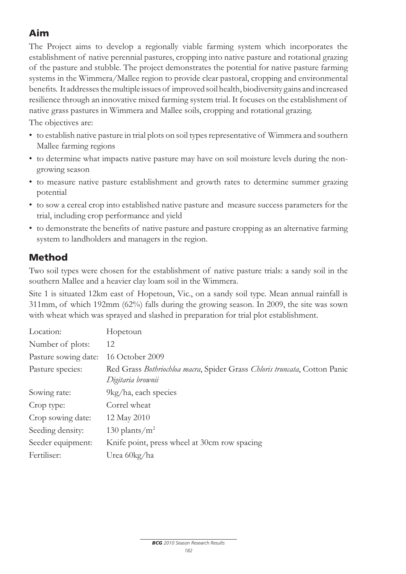## Aim

The Project aims to develop a regionally viable farming system which incorporates the establishment of native perennial pastures, cropping into native pasture and rotational grazing of the pasture and stubble. The project demonstrates the potential for native pasture farming systems in the Wimmera/Mallee region to provide clear pastoral, cropping and environmental benefits. It addresses the multiple issues of improved soil health, biodiversity gains and increased resilience through an innovative mixed farming system trial. It focuses on the establishment of native grass pastures in Wimmera and Mallee soils, cropping and rotational grazing.

The objectives are:

- to establish native pasture in trial plots on soil types representative of Wimmera and southern Mallee farming regions
- to determine what impacts native pasture may have on soil moisture levels during the nongrowing season
- to measure native pasture establishment and growth rates to determine summer grazing potential
- to sow a cereal crop into established native pasture and measure success parameters for the trial, including crop performance and yield
- to demonstrate the benefits of native pasture and pasture cropping as an alternative farming system to landholders and managers in the region.

## Method

Two soil types were chosen for the establishment of native pasture trials: a sandy soil in the southern Mallee and a heavier clay loam soil in the Wimmera.

Site 1 is situated 12km east of Hopetoun, Vic., on a sandy soil type. Mean annual rainfall is 311mm, of which 192mm (62%) falls during the growing season. In 2009, the site was sown with wheat which was sprayed and slashed in preparation for trial plot establishment.

| Location:            | Hopetoun                                                                                       |
|----------------------|------------------------------------------------------------------------------------------------|
| Number of plots:     | 12                                                                                             |
| Pasture sowing date: | 16 October 2009                                                                                |
| Pasture species:     | Red Grass Bothriochloa macra, Spider Grass Chloris truncata, Cotton Panic<br>Digitaria brownii |
| Sowing rate:         | $9\text{kg/ha}$ , each species                                                                 |
| Crop type:           | Correl wheat                                                                                   |
| Crop sowing date:    | 12 May 2010                                                                                    |
| Seeding density:     | 130 plants/ $m^2$                                                                              |
| Seeder equipment:    | Knife point, press wheel at 30cm row spacing                                                   |
| Fertiliser:          | Urea 60kg/ha                                                                                   |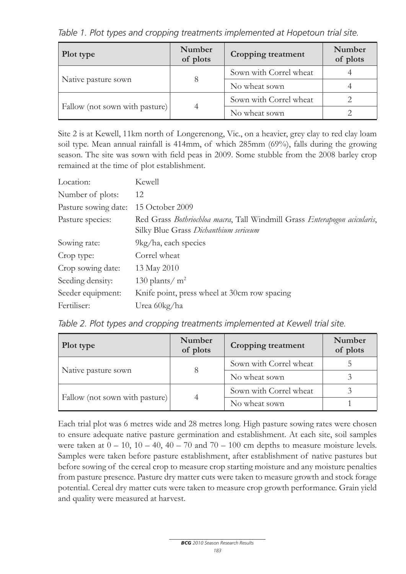*Table 1. Plot types and cropping treatments implemented at Hopetoun trial site.*

| Plot type                      | <b>Number</b><br>of plots | <b>Cropping treatment</b> | Number<br>of plots |
|--------------------------------|---------------------------|---------------------------|--------------------|
|                                |                           | Sown with Correl wheat    |                    |
| Native pasture sown            | 8                         | No wheat sown             |                    |
|                                |                           | Sown with Correl wheat    |                    |
| Fallow (not sown with pasture) | 4                         | No wheat sown             |                    |

Site 2 is at Kewell, 11km north of Longerenong, Vic., on a heavier, grey clay to red clay loam soil type. Mean annual rainfall is 414mm, of which 285mm (69%), falls during the growing season. The site was sown with field peas in 2009. Some stubble from the 2008 barley crop remained at the time of plot establishment.

| Location:            | Kewell                                                                                                             |
|----------------------|--------------------------------------------------------------------------------------------------------------------|
| Number of plots:     | 12                                                                                                                 |
| Pasture sowing date: | 15 October 2009                                                                                                    |
| Pasture species:     | Red Grass Bothriochloa macra, Tall Windmill Grass Enterapogon acicularis,<br>Silky Blue Grass Dichanthium sericeum |
| Sowing rate:         | $9\text{kg/ha}$ , each species                                                                                     |
| Crop type:           | Correl wheat                                                                                                       |
| Crop sowing date:    | 13 May 2010                                                                                                        |
| Seeding density:     | 130 plants/ $m2$                                                                                                   |
| Seeder equipment:    | Knife point, press wheel at 30cm row spacing                                                                       |
| Fertiliser:          | Urea 60kg/ha                                                                                                       |

*Table 2. Plot types and cropping treatments implemented at Kewell trial site.*

| Plot type                      | Number<br>of plots | <b>Cropping treatment</b> | Number<br>of plots |
|--------------------------------|--------------------|---------------------------|--------------------|
|                                |                    | Sown with Correl wheat    |                    |
| Native pasture sown            | 8                  | No wheat sown             |                    |
|                                |                    | Sown with Correl wheat    |                    |
| Fallow (not sown with pasture) | 4                  | No wheat sown             |                    |

Each trial plot was 6 metres wide and 28 metres long. High pasture sowing rates were chosen to ensure adequate native pasture germination and establishment. At each site, soil samples were taken at  $0 - 10$ ,  $10 - 40$ ,  $40 - 70$  and  $70 - 100$  cm depths to measure moisture levels. Samples were taken before pasture establishment, after establishment of native pastures but before sowing of the cereal crop to measure crop starting moisture and any moisture penalties from pasture presence. Pasture dry matter cuts were taken to measure growth and stock forage potential. Cereal dry matter cuts were taken to measure crop growth performance. Grain yield and quality were measured at harvest.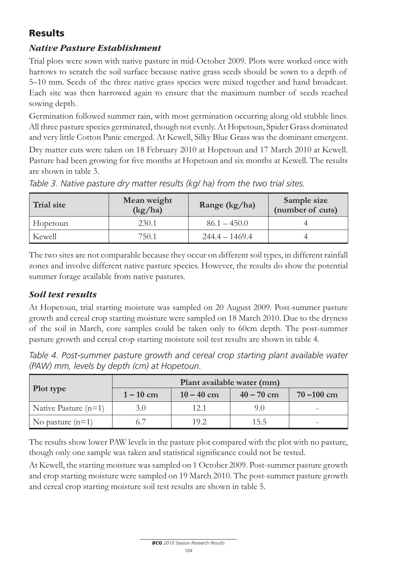## Results

#### *Native Pasture Establishment*

Trial plots were sown with native pasture in mid-October 2009. Plots were worked once with harrows to scratch the soil surface because native grass seeds should be sown to a depth of 5–10 mm. Seeds of the three native grass species were mixed together and hand broadcast. Each site was then harrowed again to ensure that the maximum number of seeds reached sowing depth.

Germination followed summer rain, with most germination occurring along old stubble lines. All three pasture species germinated, though not evenly. At Hopetoun, Spider Grass dominated and very little Cotton Panic emerged. At Kewell, Silky Blue Grass was the dominant emergent.

Dry matter cuts were taken on 18 February 2010 at Hopetoun and 17 March 2010 at Kewell. Pasture had been growing for five months at Hopetoun and six months at Kewell. The results are shown in table 3.

| Trial site | Mean weight<br>(kg/ha) | Range (kg/ha)    | Sample size<br>(number of cuts) |
|------------|------------------------|------------------|---------------------------------|
| Hopetoun   | 230.1                  | $86.1 - 450.0$   |                                 |
| Kewell     | 750.1                  | $244.4 - 1469.4$ |                                 |

*Table 3. Native pasture dry matter results (kg/ ha) from the two trial sites.*

The two sites are not comparable because they occur on different soil types, in different rainfall zones and involve different native pasture species. However, the results do show the potential summer forage available from native pastures.

#### *Soil test results*

At Hopetoun, trial starting moisture was sampled on 20 August 2009. Post-summer pasture growth and cereal crop starting moisture were sampled on 18 March 2010. Due to the dryness of the soil in March, core samples could be taken only to 60cm depth. The post-summer pasture growth and cereal crop starting moisture soil test results are shown in table 4.

*Table 4. Post-summer pasture growth and cereal crop starting plant available water (PAW) mm, levels by depth (cm) at Hopetoun.*

| <b>Plot type</b>       | Plant available water (mm) |              |              |               |
|------------------------|----------------------------|--------------|--------------|---------------|
|                        | $1 - 10$ cm                | $10 - 40$ cm | $40 - 70$ cm | $70 - 100$ cm |
| Native Pasture $(n=1)$ | 3.0                        | 12.1         | 9.O          | -             |
| No pasture $(n=1)$     |                            | 19.2         | 15.5         | -             |

The results show lower PAW levels in the pasture plot compared with the plot with no pasture, though only one sample was taken and statistical significance could not be tested.

At Kewell, the starting moisture was sampled on 1 October 2009. Post-summer pasture growth and crop starting moisture were sampled on 19 March 2010. The post-summer pasture growth and cereal crop starting moisture soil test results are shown in table 5.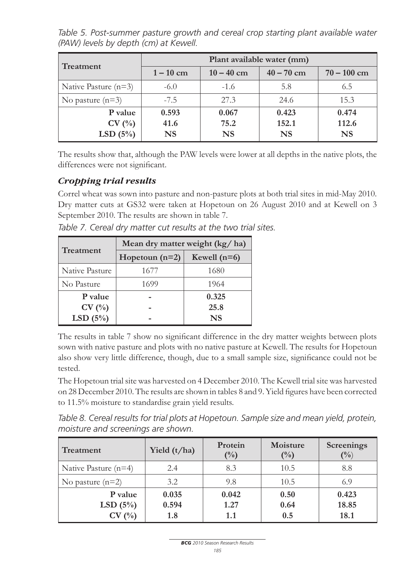*Table 5. Post-summer pasture growth and cereal crop starting plant available water (PAW) levels by depth (cm) at Kewell.*

| <b>Treatment</b>                | Plant available water (mm) |                            |                             |                             |
|---------------------------------|----------------------------|----------------------------|-----------------------------|-----------------------------|
|                                 | $1-10$ cm                  | $10 - 40$ cm               | $40 - 70$ cm                | $70 - 100$ cm               |
| Native Pasture $(n=3)$          | $-6.0$                     | $-1.6$                     | 5.8                         | 6.5                         |
| No pasture $(n=3)$              | $-7.5$                     | 27.3                       | 24.6                        | 15.3                        |
| P value<br>CV(%)<br>LSD $(5\%)$ | 0.593<br>41.6<br><b>NS</b> | 0.067<br>75.2<br><b>NS</b> | 0.423<br>152.1<br><b>NS</b> | 0.474<br>112.6<br><b>NS</b> |

The results show that, although the PAW levels were lower at all depths in the native plots, the differences were not significant.

#### *Cropping trial results*

Correl wheat was sown into pasture and non-pasture plots at both trial sites in mid-May 2010. Dry matter cuts at GS32 were taken at Hopetoun on 26 August 2010 and at Kewell on 3 September 2010. The results are shown in table 7.

|                | Mean dry matter weight (kg/ha) |                |  |  |
|----------------|--------------------------------|----------------|--|--|
| Treatment      | Hopetoun $(n=2)$               | Kewell $(n=6)$ |  |  |
| Native Pasture | 1677                           | 1680           |  |  |
| No Pasture     | 1699                           | 1964           |  |  |
| P value        |                                | 0.325          |  |  |
| CV(%)          |                                | 25.8           |  |  |
| LSD $(5\%)$    |                                | <b>NS</b>      |  |  |

*Table 7. Cereal dry matter cut results at the two trial sites.*

The results in table 7 show no significant difference in the dry matter weights between plots sown with native pasture and plots with no native pasture at Kewell. The results for Hopetoun also show very little difference, though, due to a small sample size, significance could not be tested.

The Hopetoun trial site was harvested on 4 December 2010. The Kewell trial site was harvested on 28 December 2010. The results are shown in tables 8 and 9. Yield figures have been corrected to 11.5% moisture to standardise grain yield results.

*Table 8. Cereal results for trial plots at Hopetoun. Sample size and mean yield, protein, moisture and screenings are shown.*

| <b>Treatment</b>       | Yield $(t/ha)$ | Protein<br>(%) | Moisture<br>$(\%)$ | <b>Screenings</b><br>(0/0) |
|------------------------|----------------|----------------|--------------------|----------------------------|
| Native Pasture $(n=4)$ | 2.4            | 8.3            | 10.5               | 8.8                        |
| No pasture $(n=2)$     | 3.2            | 9.8            | 10.5               | 6.9                        |
| P value                | 0.035          | 0.042          | 0.50               | 0.423                      |
| LSD $(5\%)$<br>CV(%)   | 0.594<br>1.8   | 1.27<br>1.1    | 0.64<br>0.5        | 18.85<br>18.1              |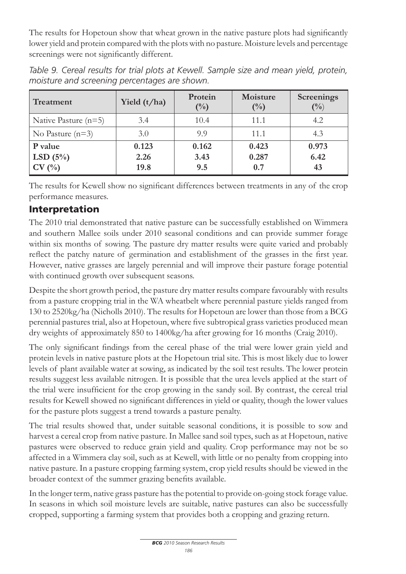The results for Hopetoun show that wheat grown in the native pasture plots had significantly lower yield and protein compared with the plots with no pasture. Moisture levels and percentage screenings were not significantly different.

| <b>Treatment</b>                | Yield $(t/ha)$        | Protein<br>$(\%)$    | Moisture<br>$\binom{0}{0}$ | <b>Screenings</b><br>(0/0) |
|---------------------------------|-----------------------|----------------------|----------------------------|----------------------------|
| Native Pasture $(n=5)$          | 3.4                   | 10.4                 | 11.1                       | 4.2                        |
| No Pasture $(n=3)$              | 3.0                   | 9.9                  | 11.1                       | 4.3                        |
| P value<br>LSD $(5\%)$<br>CV(%) | 0.123<br>2.26<br>19.8 | 0.162<br>3.43<br>9.5 | 0.423<br>0.287<br>0.7      | 0.973<br>6.42<br>43        |

*Table 9. Cereal results for trial plots at Kewell. Sample size and mean yield, protein, moisture and screening percentages are shown.*

The results for Kewell show no significant differences between treatments in any of the crop performance measures.

## Interpretation

The 2010 trial demonstrated that native pasture can be successfully established on Wimmera and southern Mallee soils under 2010 seasonal conditions and can provide summer forage within six months of sowing. The pasture dry matter results were quite varied and probably reflect the patchy nature of germination and establishment of the grasses in the first year. However, native grasses are largely perennial and will improve their pasture forage potential with continued growth over subsequent seasons.

Despite the short growth period, the pasture dry matter results compare favourably with results from a pasture cropping trial in the WA wheatbelt where perennial pasture yields ranged from 130 to 2520kg/ha (Nicholls 2010). The results for Hopetoun are lower than those from a BCG perennial pastures trial, also at Hopetoun, where five subtropical grass varieties produced mean dry weights of approximately 850 to 1400kg/ha after growing for 16 months (Craig 2010).

The only significant findings from the cereal phase of the trial were lower grain yield and protein levels in native pasture plots at the Hopetoun trial site. This is most likely due to lower levels of plant available water at sowing, as indicated by the soil test results. The lower protein results suggest less available nitrogen. It is possible that the urea levels applied at the start of the trial were insufficient for the crop growing in the sandy soil. By contrast, the cereal trial results for Kewell showed no significant differences in yield or quality, though the lower values for the pasture plots suggest a trend towards a pasture penalty.

The trial results showed that, under suitable seasonal conditions, it is possible to sow and harvest a cereal crop from native pasture. In Mallee sand soil types, such as at Hopetoun, native pastures were observed to reduce grain yield and quality. Crop performance may not be so affected in a Wimmera clay soil, such as at Kewell, with little or no penalty from cropping into native pasture. In a pasture cropping farming system, crop yield results should be viewed in the broader context of the summer grazing benefits available.

In the longer term, native grass pasture has the potential to provide on-going stock forage value. In seasons in which soil moisture levels are suitable, native pastures can also be successfully cropped, supporting a farming system that provides both a cropping and grazing return.